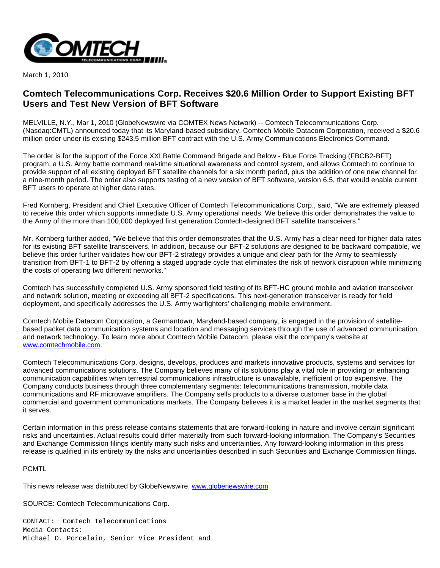

March 1, 2010

## **Comtech Telecommunications Corp. Receives \$20.6 Million Order to Support Existing BFT Users and Test New Version of BFT Software**

MELVILLE, N.Y., Mar 1, 2010 (GlobeNewswire via COMTEX News Network) -- Comtech Telecommunications Corp. (Nasdaq:CMTL) announced today that its Maryland-based subsidiary, Comtech Mobile Datacom Corporation, received a \$20.6 million order under its existing \$243.5 million BFT contract with the U.S. Army Communications Electronics Command.

The order is for the support of the Force XXI Battle Command Brigade and Below - Blue Force Tracking (FBCB2-BFT) program, a U.S. Army battle command real-time situational awareness and control system, and allows Comtech to continue to provide support of all existing deployed BFT satellite channels for a six month period, plus the addition of one new channel for a nine-month period. The order also supports testing of a new version of BFT software, version 6.5, that would enable current BFT users to operate at higher data rates.

Fred Kornberg, President and Chief Executive Officer of Comtech Telecommunications Corp., said, "We are extremely pleased to receive this order which supports immediate U.S. Army operational needs. We believe this order demonstrates the value to the Army of the more than 100,000 deployed first generation Comtech-designed BFT satellite transceivers."

Mr. Kornberg further added, "We believe that this order demonstrates that the U.S. Army has a clear need for higher data rates for its existing BFT satellite transceivers. In addition, because our BFT-2 solutions are designed to be backward compatible, we believe this order further validates how our BFT-2 strategy provides a unique and clear path for the Army to seamlessly transition from BFT-1 to BFT-2 by offering a staged upgrade cycle that eliminates the risk of network disruption while minimizing the costs of operating two different networks."

Comtech has successfully completed U.S. Army sponsored field testing of its BFT-HC ground mobile and aviation transceiver and network solution, meeting or exceeding all BFT-2 specifications. This next-generation transceiver is ready for field deployment, and specifically addresses the U.S. Army warfighters' challenging mobile environment.

Comtech Mobile Datacom Corporation, a Germantown, Maryland-based company, is engaged in the provision of satellitebased packet data communication systems and location and messaging services through the use of advanced communication and network technology. To learn more about Comtech Mobile Datacom, please visit the company's website at [www.comtechmobile.com](http://www.comtechmobile.com/).

Comtech Telecommunications Corp. designs, develops, produces and markets innovative products, systems and services for advanced communications solutions. The Company believes many of its solutions play a vital role in providing or enhancing communication capabilities when terrestrial communications infrastructure is unavailable, inefficient or too expensive. The Company conducts business through three complementary segments: telecommunications transmission, mobile data communications and RF microwave amplifiers. The Company sells products to a diverse customer base in the global commercial and government communications markets. The Company believes it is a market leader in the market segments that it serves.

Certain information in this press release contains statements that are forward-looking in nature and involve certain significant risks and uncertainties. Actual results could differ materially from such forward-looking information. The Company's Securities and Exchange Commission filings identify many such risks and uncertainties. Any forward-looking information in this press release is qualified in its entirety by the risks and uncertainties described in such Securities and Exchange Commission filings.

## **PCMTL**

This news release was distributed by GlobeNewswire, [www.globenewswire.com](http://www.globenewswire.com/)

SOURCE: Comtech Telecommunications Corp.

CONTACT: Comtech Telecommunications Media Contacts: Michael D. Porcelain, Senior Vice President and